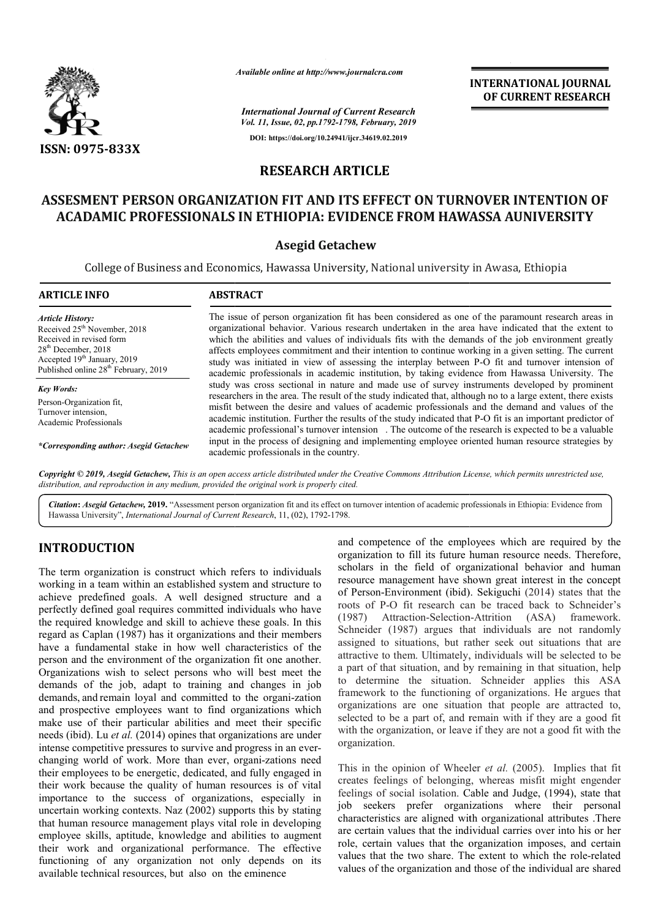

*Available online at http://www.journalcra.com*

## **INTERNATIONAL JOURNAL OF CURRENT RESEARCH**

#### *Vol. 11, Issue, 02, pp.1792-1798, February, 2019* **DOI: https://doi.org/10.24941/ijcr.34619.02.2019**

## **RESEARCH ARTICLE**

*International Journal of Current Research*

# **ASSESMENT PERSON ORGANIZATION FIT AND ITS EFFECT ON TURNOVER INTENTION OF ISESMENT PERSON ORGANIZATION FIT AND ITS EFFECT ON TURNOVER INTENTION (<br>ACADAMIC PROFESSIONALS IN ETHIOPIA: EVIDENCE FROM HAWASSA AUNIVERSITY**

## **Asegid Getachew**

College of Business and Economics, Hawassa University, National university in Awasa, Ethiopia

| <b>ARTICLE INFO</b>                                                                                                                                                                                                                                                                                                                                     | <b>ABSTRACT</b>                                                                                                                                                                                                                                                                                                                                                                                                                                                                                                                                                                                                                             |
|---------------------------------------------------------------------------------------------------------------------------------------------------------------------------------------------------------------------------------------------------------------------------------------------------------------------------------------------------------|---------------------------------------------------------------------------------------------------------------------------------------------------------------------------------------------------------------------------------------------------------------------------------------------------------------------------------------------------------------------------------------------------------------------------------------------------------------------------------------------------------------------------------------------------------------------------------------------------------------------------------------------|
| <b>Article History:</b><br>Received 25 <sup>th</sup> November, 2018<br>Received in revised form<br>$28th$ December, 2018<br>Accepted 19th January, 2019<br>Published online 28 <sup>th</sup> February, 2019<br><b>Key Words:</b><br>Person-Organization fit.<br>Turnover intension,<br>Academic Professionals<br>*Corresponding author: Asegid Getachew | The issue of person organization fit has been considered as one of the paramount research areas in<br>organizational behavior. Various research undertaken in the area have indicated that the extent to<br>which the abilities and values of individuals fits with the demands of the job environment greatly<br>affects employees commitment and their intention to continue working in a given setting. The current<br>study was initiated in view of assessing the interplay between P-O fit and turnover intension of<br>academic professionals in academic institution, by taking evidence from Hawassa University. The               |
|                                                                                                                                                                                                                                                                                                                                                         | study was cross sectional in nature and made use of survey instruments developed by prominent<br>researchers in the area. The result of the study indicated that, although no to a large extent, there exists<br>misfit between the desire and values of academic professionals and the demand and values of the<br>academic institution. Further the results of the study indicated that P-O fit is an important predictor of<br>academic professional's turnover intension. The outcome of the research is expected to be a valuable<br>input in the process of designing and implementing employee oriented human resource strategies by |

Copyright © 2019, Asegid Getachew, This is an open access article distributed under the Creative Commons Attribution License, which permits unrestricted use, *distribution, and reproduction in any medium, provided the original work is properly cited.*

Citation: Asegid Getachew, 2019. "Assessment person organization fit and its effect on turnover intention of academic professionals in Ethiopia: Evidence from **Citation: Asegid Getachew, 2019.** "Assessment person organization fit and its effect or<br>Hawassa University", *International Journal of Current Research*, 11, (02), 1792-1798.

## **INTRODUCTION**

The term organization is construct which refers to individuals working in a team within an established system and structure to achieve predefined goals. A well designed structure and a perfectly defined goal requires committed individuals who have the required knowledge and skill to achieve these goals. In this regard as Caplan (1987) has it organizations and their members have a fundamental stake in how well characteristics of the person and the environment of the organization fit one another. Organizations wish to select persons who will best meet the demands of the job, adapt to training and changes in job demands, and remain loyal and committed to the organi-zation and prospective employees want to find organizations which make use of their particular abilities and meet their specific needs (ibid). Lu *et al.* (2014) opines that organizations are under intense competitive pressures to survive and progress in an everchanging world of work. More than ever, organi-zations need their employees to be energetic, dedicated, and fully engaged in their work because the quality of human resources is of vital importance to the success of organizations, especially in uncertain working contexts. Naz (2002) supports this by stating that human resource management plays vital role in developing employee skills, aptitude, knowledge and abilities to augment their work and organizational performance. The effective functioning of any organization not only depends on its available technical resources, but also on the eminence **CTION**<br>
and competited by the employes which refers to individuals<br>
and competition is construct which refers to individuals<br>
scholars in the field of organizational behavior and studient<br>
effection within an established

and competence of the employees which are required by the organization to fill its future human resource needs. Therefore, scholars in the field of organizational behavior and human scholars in the field of organizational behavior and human resource management have shown great interest in the concept of Person-Environment (ibid). Sekiguchi (2014) states that the roots of P-O fit research can be traced back to Schneider's (1987) Attraction-Selection Selection-Attrition (ASA) framework. Schneider (1987) argues that individuals are not randomly assigned to situations, but rather seek out situations that are attractive to them. Ultimately, individuals will be selected to be a part of that situation, and by remaining in that situation, help to determine the situation. Schneider applies this ASA framework to the functioning of organizations. He argues that organizations are one situation that people are attracted to, selected to be a part of, and remain with if they are a good fit with the organization, or leave if they are not a good fit with the organization. t of that situation, and by remaining in that situation, help letermine the situation. Schneider applies this ASA ework to the functioning of organizations. He argues that hizations are one situation that people are attrac

This in the opinion of Wheeler *et al.*  $(2005)$ . Implies that fit creates feelings of belonging, whereas misfit might engender creates feelings of belonging, whereas misfit might engender feelings of social isolation. Cable and Judge, (1994), state that job seekers prefer organizations where their personal characteristics are aligned with organizational attributes .There characteristics are aligned with organizational attributes .There are certain values that the individual carries over into his or her role, certain values that the organization imposes, and certain values that the two share. The extent to which the role-related values of the organization and those of the individual are shared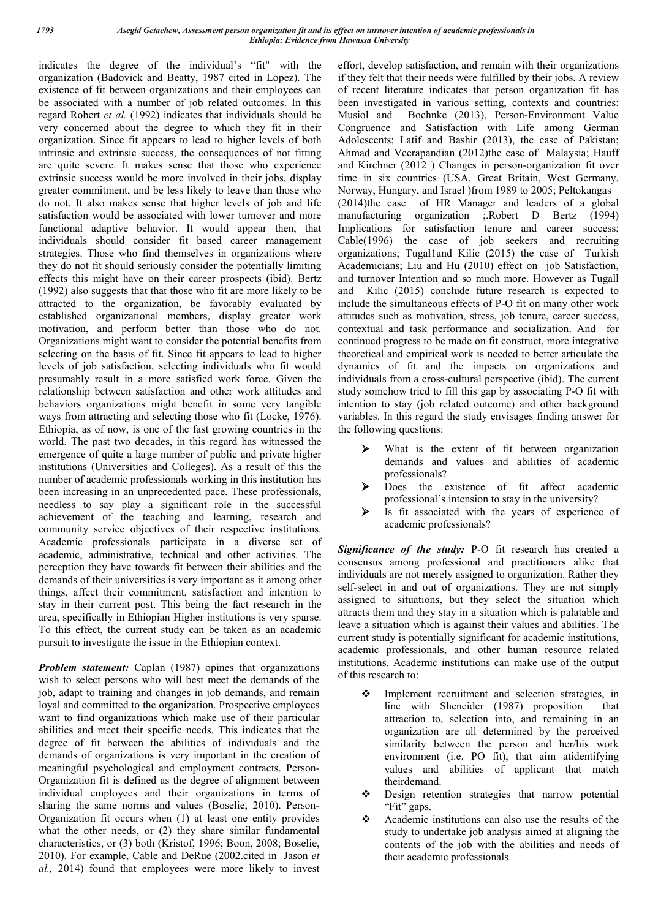indicates the degree of the individual's "fit" with the organization (Badovick and Beatty, 1987 cited in Lopez). The existence of fit between organizations and their employees can be associated with a number of job related outcomes. In this regard Robert *et al.* (1992) indicates that individuals should be very concerned about the degree to which they fit in their organization. Since fit appears to lead to higher levels of both intrinsic and extrinsic success, the consequences of not fitting are quite severe. It makes sense that those who experience extrinsic success would be more involved in their jobs, display greater commitment, and be less likely to leave than those who do not. It also makes sense that higher levels of job and life satisfaction would be associated with lower turnover and more functional adaptive behavior. It would appear then, that individuals should consider fit based career management strategies. Those who find themselves in organizations where they do not fit should seriously consider the potentially limiting effects this might have on their career prospects (ibid). Bertz (1992) also suggests that that those who fit are more likely to be attracted to the organization, be favorably evaluated by established organizational members, display greater work motivation, and perform better than those who do not. Organizations might want to consider the potential benefits from selecting on the basis of fit. Since fit appears to lead to higher levels of job satisfaction, selecting individuals who fit would presumably result in a more satisfied work force. Given the relationship between satisfaction and other work attitudes and behaviors organizations might benefit in some very tangible ways from attracting and selecting those who fit (Locke, 1976). Ethiopia, as of now, is one of the fast growing countries in the world. The past two decades, in this regard has witnessed the emergence of quite a large number of public and private higher institutions (Universities and Colleges). As a result of this the number of academic professionals working in this institution has been increasing in an unprecedented pace. These professionals, needless to say play a significant role in the successful achievement of the teaching and learning, research and community service objectives of their respective institutions. Academic professionals participate in a diverse set of academic, administrative, technical and other activities. The perception they have towards fit between their abilities and the demands of their universities is very important as it among other things, affect their commitment, satisfaction and intention to stay in their current post. This being the fact research in the area, specifically in Ethiopian Higher institutions is very sparse. To this effect, the current study can be taken as an academic pursuit to investigate the issue in the Ethiopian context.

*Problem statement:* Caplan (1987) opines that organizations wish to select persons who will best meet the demands of the job, adapt to training and changes in job demands, and remain loyal and committed to the organization. Prospective employees want to find organizations which make use of their particular abilities and meet their specific needs. This indicates that the degree of fit between the abilities of individuals and the demands of organizations is very important in the creation of meaningful psychological and employment contracts. Person-Organization fit is defined as the degree of alignment between individual employees and their organizations in terms of sharing the same norms and values (Boselie, 2010). Person-Organization fit occurs when (1) at least one entity provides what the other needs, or (2) they share similar fundamental characteristics, or (3) both (Kristof, 1996; Boon, 2008; Boselie, 2010). For example, Cable and DeRue (2002.cited in Jason *et al.,* 2014) found that employees were more likely to invest

effort, develop satisfaction, and remain with their organizations if they felt that their needs were fulfilled by their jobs. A review of recent literature indicates that person organization fit has been investigated in various setting, contexts and countries: Musiol and Boehnke (2013), Person-Environment Value Congruence and Satisfaction with Life among German Adolescents; Latif and Bashir (2013), the case of Pakistan; Ahmad and Veerapandian (2012)the case of Malaysia; Hauff and Kirchner (2012 ) Changes in person-organization fit over time in six countries (USA, Great Britain, West Germany, Norway, Hungary, and Israel )from 1989 to 2005; Peltokangas (2014)the case of HR Manager and leaders of a global manufacturing organization ;.Robert D Bertz (1994) Implications for satisfaction tenure and career success; Cable(1996) the case of job seekers and recruiting organizations; Tugal1and Kilic (2015) the case of Turkish Academicians; Liu and Hu (2010) effect on job Satisfaction, and turnover Intention and so much more. However as Tugall and Kilic (2015) conclude future research is expected to include the simultaneous effects of P-O fit on many other work attitudes such as motivation, stress, job tenure, career success, contextual and task performance and socialization. And for continued progress to be made on fit construct, more integrative theoretical and empirical work is needed to better articulate the dynamics of fit and the impacts on organizations and individuals from a cross-cultural perspective (ibid). The current study somehow tried to fill this gap by associating P-O fit with intention to stay (job related outcome) and other background variables. In this regard the study envisages finding answer for the following questions:

- What is the extent of fit between organization demands and values and abilities of academic professionals?
- Does the existence of fit affect academic professional's intension to stay in the university?
- Is fit associated with the years of experience of academic professionals?

*Significance of the study:* P-O fit research has created a consensus among professional and practitioners alike that individuals are not merely assigned to organization. Rather they self-select in and out of organizations. They are not simply assigned to situations, but they select the situation which attracts them and they stay in a situation which is palatable and leave a situation which is against their values and abilities. The current study is potentially significant for academic institutions, academic professionals, and other human resource related institutions. Academic institutions can make use of the output of this research to:

- $\div$  Implement recruitment and selection strategies, in line with Sheneider (1987) proposition that attraction to, selection into, and remaining in an organization are all determined by the perceived similarity between the person and her/his work environment (i.e. PO fit), that aim atidentifying values and abilities of applicant that match theirdemand.
- Design retention strategies that narrow potential "Fit" gaps.
- Academic institutions can also use the results of the study to undertake job analysis aimed at aligning the contents of the job with the abilities and needs of their academic professionals.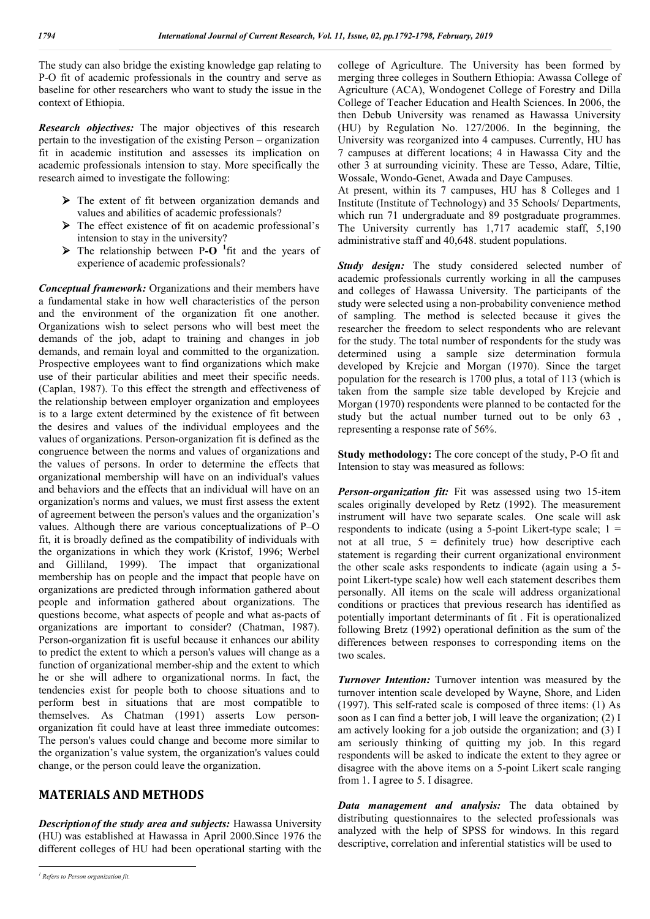The study can also bridge the existing knowledge gap relating to P-O fit of academic professionals in the country and serve as baseline for other researchers who want to study the issue in the context of Ethiopia.

*Research objectives:* The major objectives of this research pertain to the investigation of the existing Person – organization fit in academic institution and assesses its implication on academic professionals intension to stay. More specifically the research aimed to investigate the following:

- $\triangleright$  The extent of fit between organization demands and values and abilities of academic professionals?
- The effect existence of fit on academic professional's intension to stay in the university?
- The relationship between P**-O <sup>1</sup>** fit and the years of experience of academic professionals?

*Conceptual framework:* Organizations and their members have a fundamental stake in how well characteristics of the person and the environment of the organization fit one another. Organizations wish to select persons who will best meet the demands of the job, adapt to training and changes in job demands, and remain loyal and committed to the organization. Prospective employees want to find organizations which make use of their particular abilities and meet their specific needs. (Caplan, 1987). To this effect the strength and effectiveness of the relationship between employer organization and employees is to a large extent determined by the existence of fit between the desires and values of the individual employees and the values of organizations. Person-organization fit is defined as the congruence between the norms and values of organizations and the values of persons. In order to determine the effects that organizational membership will have on an individual's values and behaviors and the effects that an individual will have on an organization's norms and values, we must first assess the extent of agreement between the person's values and the organization's values. Although there are various conceptualizations of P–O fit, it is broadly defined as the compatibility of individuals with the organizations in which they work (Kristof, 1996; Werbel and Gilliland, 1999). The impact that organizational membership has on people and the impact that people have on organizations are predicted through information gathered about people and information gathered about organizations. The questions become, what aspects of people and what as-pacts of organizations are important to consider? (Chatman, 1987). Person-organization fit is useful because it enhances our ability to predict the extent to which a person's values will change as a function of organizational member-ship and the extent to which he or she will adhere to organizational norms. In fact, the tendencies exist for people both to choose situations and to perform best in situations that are most compatible to themselves. As Chatman (1991) asserts Low personorganization fit could have at least three immediate outcomes: The person's values could change and become more similar to the organization's value system, the organization's values could change, or the person could leave the organization.

## **MATERIALS AND METHODS**

*Descriptionof the study area and subjects:* Hawassa University (HU) was established at Hawassa in April 2000.Since 1976 the different colleges of HU had been operational starting with the college of Agriculture. The University has been formed by merging three colleges in Southern Ethiopia: Awassa College of Agriculture (ACA), Wondogenet College of Forestry and Dilla College of Teacher Education and Health Sciences. In 2006, the then Debub University was renamed as Hawassa University (HU) by Regulation No. 127/2006. In the beginning, the University was reorganized into 4 campuses. Currently, HU has 7 campuses at different locations; 4 in Hawassa City and the other 3 at surrounding vicinity. These are Tesso, Adare, Tiltie, Wossale, Wondo-Genet, Awada and Daye Campuses.

At present, within its 7 campuses, HU has 8 Colleges and 1 Institute (Institute of Technology) and 35 Schools/ Departments, which run 71 undergraduate and 89 postgraduate programmes. The University currently has 1,717 academic staff, 5,190 administrative staff and 40,648. student populations.

**Study design:** The study considered selected number of academic professionals currently working in all the campuses and colleges of Hawassa University. The participants of the study were selected using a non-probability convenience method of sampling. The method is selected because it gives the researcher the freedom to select respondents who are relevant for the study. The total number of respondents for the study was determined using a sample size determination formula developed by Krejcie and Morgan (1970). Since the target population for the research is 1700 plus, a total of 113 (which is taken from the sample size table developed by Krejcie and Morgan (1970) respondents were planned to be contacted for the study but the actual number turned out to be only 63 , representing a response rate of 56%.

**Study methodology:** The core concept of the study, P-O fit and Intension to stay was measured as follows:

*Person-organization fit:* Fit was assessed using two 15-item scales originally developed by Retz (1992). The measurement instrument will have two separate scales. One scale will ask respondents to indicate (using a 5-point Likert-type scale;  $1 =$ not at all true,  $5 =$  definitely true) how descriptive each statement is regarding their current organizational environment the other scale asks respondents to indicate (again using a 5 point Likert-type scale) how well each statement describes them personally. All items on the scale will address organizational conditions or practices that previous research has identified as potentially important determinants of fit . Fit is operationalized following Bretz (1992) operational definition as the sum of the differences between responses to corresponding items on the two scales.

*Turnover Intention:* Turnover intention was measured by the turnover intention scale developed by Wayne, Shore, and Liden (1997). This self-rated scale is composed of three items: (1) As soon as I can find a better job, I will leave the organization; (2) I am actively looking for a job outside the organization; and (3) I am seriously thinking of quitting my job. In this regard respondents will be asked to indicate the extent to they agree or disagree with the above items on a 5-point Likert scale ranging from 1. I agree to 5. I disagree.

*Data management and analysis:* The data obtained by distributing questionnaires to the selected professionals was analyzed with the help of SPSS for windows. In this regard descriptive, correlation and inferential statistics will be used to

*<sup>1</sup> Refers to Person organization fit.*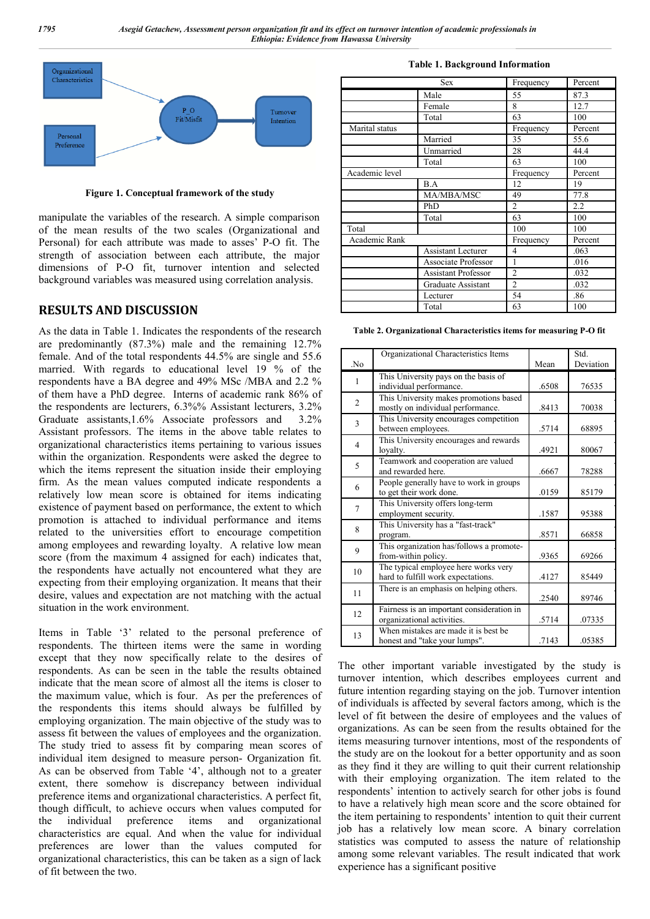

**Figure 1. Conceptual framework of the study**

manipulate the variables of the research. A simple comparison of the mean results of the two scales (Organizational and Personal) for each attribute was made to asses' P-O fit. The strength of association between each attribute, the major dimensions of P-O fit, turnover intention and selected background variables was measured using correlation analysis.

### **RESULTS AND DISCUSSION**

As the data in Table 1. Indicates the respondents of the research are predominantly (87.3%) male and the remaining 12.7% female. And of the total respondents 44.5% are single and 55.6 married. With regards to educational level 19 % of the respondents have a BA degree and 49% MSc /MBA and 2.2 % of them have a PhD degree. Interns of academic rank 86% of the respondents are lecturers, 6.3%% Assistant lecturers, 3.2% Graduate assistants,1.6% Associate professors and 3.2% Assistant professors. The items in the above table relates to organizational characteristics items pertaining to various issues within the organization. Respondents were asked the degree to which the items represent the situation inside their employing firm. As the mean values computed indicate respondents a relatively low mean score is obtained for items indicating existence of payment based on performance, the extent to which promotion is attached to individual performance and items related to the universities effort to encourage competition among employees and rewarding loyalty. A relative low mean score (from the maximum 4 assigned for each) indicates that, the respondents have actually not encountered what they are expecting from their employing organization. It means that their desire, values and expectation are not matching with the actual situation in the work environment.

Items in Table '3' related to the personal preference of respondents. The thirteen items were the same in wording except that they now specifically relate to the desires of respondents. As can be seen in the table the results obtained indicate that the mean score of almost all the items is closer to the maximum value, which is four. As per the preferences of the respondents this items should always be fulfilled by employing organization. The main objective of the study was to assess fit between the values of employees and the organization. The study tried to assess fit by comparing mean scores of individual item designed to measure person- Organization fit. As can be observed from Table '4', although not to a greater extent, there somehow is discrepancy between individual preference items and organizational characteristics. A perfect fit, though difficult, to achieve occurs when values computed for the individual preference items and organizational characteristics are equal. And when the value for individual preferences are lower than the values computed for organizational characteristics, this can be taken as a sign of lack of fit between the two.

**Table 1. Background Information**

|                | Sex                        | Frequency      | Percent |
|----------------|----------------------------|----------------|---------|
|                | Male                       | 55             | 87.3    |
|                | Female                     | 8              | 12.7    |
|                | Total                      | 63             | 100     |
| Marital status |                            | Frequency      | Percent |
|                | Married                    | 35             | 55.6    |
|                | Unmarried                  | 28             | 44.4    |
|                | Total                      | 63             | 100     |
| Academic level |                            | Frequency      | Percent |
|                | B.A                        | 12             | 19      |
|                | MA/MBA/MSC                 | 49             | 77.8    |
|                | PhD                        | 2              | 2.2     |
|                | Total                      | 63             | 100     |
| Total          |                            | 100            | 100     |
| Academic Rank  |                            | Frequency      | Percent |
|                | <b>Assistant Lecturer</b>  | 4              | .063    |
|                | Associate Professor        | 1              | .016    |
|                | <b>Assistant Professor</b> | $\overline{2}$ | .032    |
|                | Graduate Assistant         | $\overline{2}$ | .032    |
|                | Lecturer                   | 54             | .86     |
|                | Total                      | 63             | 100     |

**Table 2. Organizational Characteristics items for measuring P-O fit**

| N <sub>0</sub> | Organizational Characteristics Items                                        | Mean  | Std.<br>Deviation |
|----------------|-----------------------------------------------------------------------------|-------|-------------------|
| $\mathbf{1}$   | This University pays on the basis of<br>individual performance.             | .6508 | 76535             |
| $\overline{2}$ | This University makes promotions based<br>mostly on individual performance. | .8413 | 70038             |
| 3              | This University encourages competition<br>between employees.                | .5714 | 68895             |
| $\overline{4}$ | This University encourages and rewards<br>loyalty.                          | .4921 | 80067             |
| 5              | Teamwork and cooperation are valued<br>and rewarded here.                   | .6667 | 78288             |
| 6              | People generally have to work in groups<br>to get their work done.          | .0159 | 85179             |
| $\overline{7}$ | This University offers long-term<br>employment security.                    | .1587 | 95388             |
| 8              | This University has a "fast-track"<br>program.                              | .8571 | 66858             |
| 9              | This organization has/follows a promote-<br>from-within policy.             | .9365 | 69266             |
| 10             | The typical employee here works very<br>hard to fulfill work expectations.  | .4127 | 85449             |
| 11             | There is an emphasis on helping others.                                     | .2540 | 89746             |
| 12             | Fairness is an important consideration in<br>organizational activities.     | .5714 | .07335            |
| 13             | When mistakes are made it is best be<br>honest and "take your lumps".       | .7143 | .05385            |

The other important variable investigated by the study is turnover intention, which describes employees current and future intention regarding staying on the job. Turnover intention of individuals is affected by several factors among, which is the level of fit between the desire of employees and the values of organizations. As can be seen from the results obtained for the items measuring turnover intentions, most of the respondents of the study are on the lookout for a better opportunity and as soon as they find it they are willing to quit their current relationship with their employing organization. The item related to the respondents' intention to actively search for other jobs is found to have a relatively high mean score and the score obtained for the item pertaining to respondents' intention to quit their current job has a relatively low mean score. A binary correlation statistics was computed to assess the nature of relationship among some relevant variables. The result indicated that work experience has a significant positive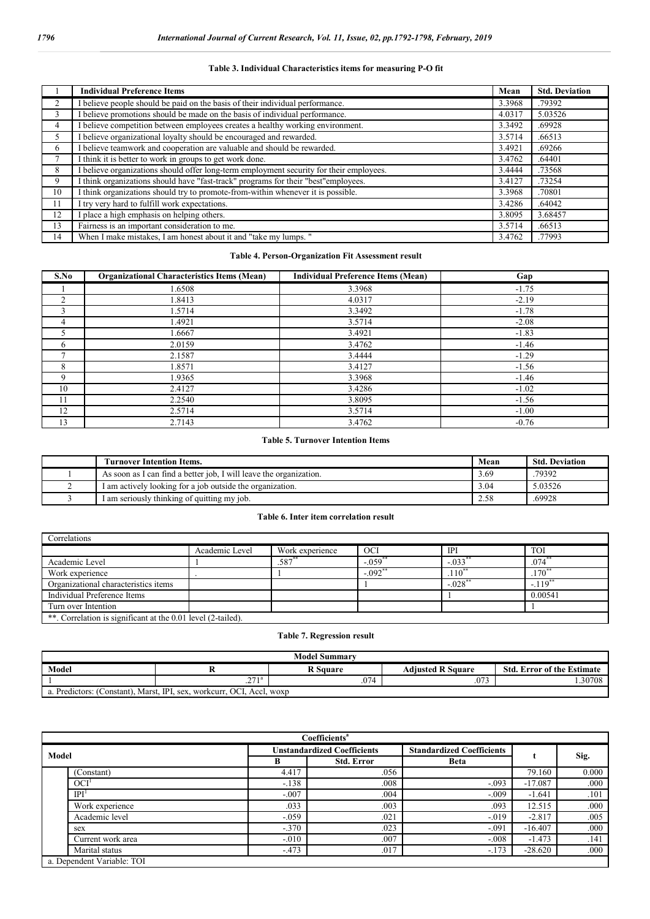#### **Table 3. Individual Characteristics items for measuring P-O fit**

|    | <b>Individual Preference Items</b>                                                      | Mean   | <b>Std. Deviation</b> |
|----|-----------------------------------------------------------------------------------------|--------|-----------------------|
| 2  | I believe people should be paid on the basis of their individual performance.           | 3.3968 | .79392                |
| 3  | I believe promotions should be made on the basis of individual performance.             | 4.0317 | 5.03526               |
| 4  | I believe competition between employees creates a healthy working environment.          | 3.3492 | .69928                |
|    | I believe organizational loyalty should be encouraged and rewarded.                     | 3.5714 | .66513                |
| 6  | I believe teamwork and cooperation are valuable and should be rewarded.                 | 3.4921 | .69266                |
|    | I think it is better to work in groups to get work done.                                | 3.4762 | .64401                |
| 8  | I believe organizations should offer long-term employment security for their employees. | 3.4444 | .73568                |
| 9  | I think organizations should have "fast-track" programs for their "best" employees.     | 3.4127 | .73254                |
| 10 | I think organizations should try to promote-from-within whenever it is possible.        | 3.3968 | .70801                |
| 11 | I try very hard to fulfill work expectations.                                           | 3.4286 | .64042                |
| 12 | I place a high emphasis on helping others.                                              | 3.8095 | 3.68457               |
| 13 | Fairness is an important consideration to me.                                           | 3.5714 | .66513                |
| 14 | When I make mistakes, I am honest about it and "take my lumps."                         | 3.4762 | .77993                |

#### **Table 4. Person-Organization Fit Assessment result**

| S.No         | <b>Organizational Characteristics Items (Mean)</b> | <b>Individual Preference Items (Mean)</b> | Gap     |
|--------------|----------------------------------------------------|-------------------------------------------|---------|
|              | 1.6508                                             | 3.3968                                    | $-1.75$ |
| C            | 1.8413                                             | 4.0317                                    | $-2.19$ |
| $\sim$       | 1.5714                                             | 3.3492                                    | $-1.78$ |
| 4            | 1.4921                                             | 3.5714                                    | $-2.08$ |
|              | .6667                                              | 3.4921                                    | $-1.83$ |
| <sub>0</sub> | 2.0159                                             | 3.4762                                    | $-1.46$ |
|              | 2.1587                                             | 3.4444                                    | $-1.29$ |
| 8            | 1.8571                                             | 3.4127                                    | $-1.56$ |
| 9            | 1.9365                                             | 3.3968                                    | $-1.46$ |
| 10           | 2.4127                                             | 3.4286                                    | $-1.02$ |
| 11           | 2.2540                                             | 3.8095                                    | $-1.56$ |
| 12           | 2.5714                                             | 3.5714                                    | $-1.00$ |
| 13           | 2.7143                                             | 3.4762                                    | $-0.76$ |

#### **Table 5. Turnover Intention Items**

| Turnover Intention Items.                                          | Mean | <b>Std. Deviation</b> |
|--------------------------------------------------------------------|------|-----------------------|
| As soon as I can find a better job, I will leave the organization. | 3.69 | .79392                |
| I am actively looking for a job outside the organization.          | 3.04 | 5.03526               |
| I am seriously thinking of quitting my job.                        | 2.58 | .69928                |

#### **Table 6. Inter item correlation result**

| Correlations                                                 |                |                 |                        |         |                      |  |  |
|--------------------------------------------------------------|----------------|-----------------|------------------------|---------|----------------------|--|--|
|                                                              | Academic Level | Work experience | OCI                    | IPI     | <b>TOI</b>           |  |  |
| Academic Level                                               |                | $.587*$         | $-0.059$ **            | $-.033$ | .074                 |  |  |
| Work experience                                              |                |                 | $-0.092$ <sup>**</sup> | .110    | $.170^{1}$           |  |  |
| Organizational characteristics items                         |                |                 |                        | $-.028$ | $-.119$ <sup>*</sup> |  |  |
| Individual Preference Items                                  |                |                 |                        |         | 0.00541              |  |  |
| Turn over Intention                                          |                |                 |                        |         |                      |  |  |
| **. Correlation is significant at the 0.01 level (2-tailed). |                |                 |                        |         |                      |  |  |

### **Table 7. Regression result**

| <b>Model Summary</b> |                                                                       |                 |                          |                                   |  |  |  |  |
|----------------------|-----------------------------------------------------------------------|-----------------|--------------------------|-----------------------------------|--|--|--|--|
| Model                |                                                                       | <b>R</b> Square | <b>Adiusted R Square</b> | <b>Std. Error of the Estimate</b> |  |  |  |  |
|                      | 271a<br>.411                                                          | 07<br>.v        | .073                     | .30708                            |  |  |  |  |
|                      | a. Predictors: (Constant), Marst, IPI, sex, workcurr, OCI, Accl, woxp |                 |                          |                                   |  |  |  |  |

|       | Coefficients <sup>a</sup>  |                                    |                   |                                  |           |       |  |
|-------|----------------------------|------------------------------------|-------------------|----------------------------------|-----------|-------|--|
| Model |                            | <b>Unstandardized Coefficients</b> |                   | <b>Standardized Coefficients</b> |           |       |  |
|       |                            | R                                  | <b>Std. Error</b> | <b>Beta</b>                      |           | Sig.  |  |
|       | (Constant)                 | 4.417                              | .056              |                                  | 79.160    | 0.000 |  |
|       | OCI <sup>1</sup>           | $-.138$                            | .008              | $-.093$                          | $-17.087$ | .000  |  |
|       | IPI <sup>1</sup>           | $-.007$                            | .004              | $-.009$                          | $-1.641$  | .101  |  |
|       | Work experience            | .033                               | .003              | .093                             | 12.515    | .000  |  |
|       | Academic level             | $-.059$                            | .021              | $-.019$                          | $-2.817$  | .005  |  |
|       | sex                        | $-.370$                            | .023              | $-.091$                          | $-16.407$ | .000  |  |
|       | Current work area          | $-.010$                            | .007              | $-.008$                          | $-1.473$  | .141  |  |
|       | Marital status             | $-.473$                            | .017              | $-.173$                          | $-28.620$ | .000  |  |
|       | a. Dependent Variable: TOI |                                    |                   |                                  |           |       |  |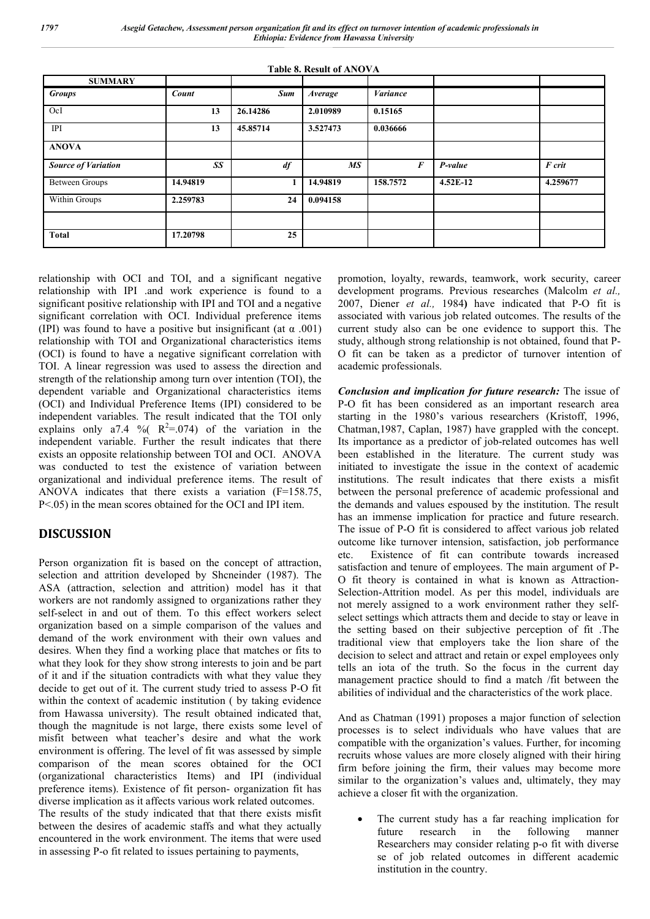| <b>SUMMARY</b>             |          |          | <b>Table 8. Result of ANOVA</b> |                  |            |          |
|----------------------------|----------|----------|---------------------------------|------------------|------------|----------|
|                            |          |          |                                 |                  |            |          |
| <b>Groups</b>              | Count    | Sum      | Average                         | <b>Variance</b>  |            |          |
| OcI                        | 13       | 26.14286 | 2.010989                        | 0.15165          |            |          |
| IPI                        | 13       | 45.85714 | 3.527473                        | 0.036666         |            |          |
| <b>ANOVA</b>               |          |          |                                 |                  |            |          |
| <b>Source of Variation</b> | SS       | df       | $\overline{MS}$                 | $\boldsymbol{F}$ | P-value    | F crit   |
| <b>Between Groups</b>      | 14.94819 |          | 14.94819                        | 158,7572         | $4.52E-12$ | 4.259677 |
| Within Groups              | 2.259783 | 24       | 0.094158                        |                  |            |          |
|                            |          |          |                                 |                  |            |          |
| <b>Total</b>               | 17.20798 | 25       |                                 |                  |            |          |

relationship with OCI and TOI, and a significant negative relationship with IPI .and work experience is found to a significant positive relationship with IPI and TOI and a negative significant correlation with OCI. Individual preference items (IPI) was found to have a positive but insignificant (at  $\alpha$  .001) relationship with TOI and Organizational characteristics items (OCI) is found to have a negative significant correlation with TOI. A linear regression was used to assess the direction and strength of the relationship among turn over intention (TOI), the dependent variable and Organizational characteristics items (OCI) and Individual Preference Items (IPI) considered to be independent variables. The result indicated that the TOI only explains only a 7.4 % ( $R^2 = 0.074$ ) of the variation in the independent variable. Further the result indicates that there exists an opposite relationship between TOI and OCI. ANOVA was conducted to test the existence of variation between organizational and individual preference items. The result of ANOVA indicates that there exists a variation (F=158.75, P<.05) in the mean scores obtained for the OCI and IPI item.

## **DISCUSSION**

Person organization fit is based on the concept of attraction, selection and attrition developed by Shcneinder (1987). The ASA (attraction, selection and attrition) model has it that workers are not randomly assigned to organizations rather they self-select in and out of them. To this effect workers select organization based on a simple comparison of the values and demand of the work environment with their own values and desires. When they find a working place that matches or fits to what they look for they show strong interests to join and be part of it and if the situation contradicts with what they value they decide to get out of it. The current study tried to assess P-O fit within the context of academic institution ( by taking evidence from Hawassa university). The result obtained indicated that, though the magnitude is not large, there exists some level of misfit between what teacher's desire and what the work environment is offering. The level of fit was assessed by simple comparison of the mean scores obtained for the OCI (organizational characteristics Items) and IPI (individual preference items). Existence of fit person- organization fit has diverse implication as it affects various work related outcomes. The results of the study indicated that that there exists misfit between the desires of academic staffs and what they actually encountered in the work environment. The items that were used in assessing P-o fit related to issues pertaining to payments,

promotion, loyalty, rewards, teamwork, work security, career development programs. Previous researches (Malcolm *et al.,* 2007, Diener *et al.,* 1984**)** have indicated that P-O fit is associated with various job related outcomes. The results of the current study also can be one evidence to support this. The study, although strong relationship is not obtained, found that P-O fit can be taken as a predictor of turnover intention of academic professionals.

*Conclusion and implication for future research:* The issue of P-O fit has been considered as an important research area starting in the 1980's various researchers (Kristoff, 1996, Chatman,1987, Caplan, 1987) have grappled with the concept. Its importance as a predictor of job-related outcomes has well been established in the literature. The current study was initiated to investigate the issue in the context of academic institutions. The result indicates that there exists a misfit between the personal preference of academic professional and the demands and values espoused by the institution. The result has an immense implication for practice and future research. The issue of P-O fit is considered to affect various job related outcome like turnover intension, satisfaction, job performance etc. Existence of fit can contribute towards increased satisfaction and tenure of employees. The main argument of P-O fit theory is contained in what is known as Attraction-Selection-Attrition model. As per this model, individuals are not merely assigned to a work environment rather they selfselect settings which attracts them and decide to stay or leave in the setting based on their subjective perception of fit .The traditional view that employers take the lion share of the decision to select and attract and retain or expel employees only tells an iota of the truth. So the focus in the current day management practice should to find a match /fit between the abilities of individual and the characteristics of the work place.

And as Chatman (1991) proposes a major function of selection processes is to select individuals who have values that are compatible with the organization's values. Further, for incoming recruits whose values are more closely aligned with their hiring firm before joining the firm, their values may become more similar to the organization's values and, ultimately, they may achieve a closer fit with the organization.

 The current study has a far reaching implication for future research in the following manner Researchers may consider relating p-o fit with diverse se of job related outcomes in different academic institution in the country.